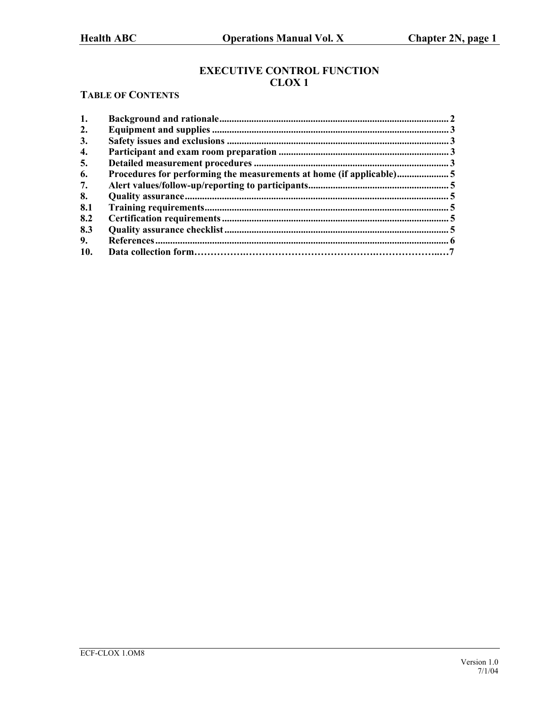# **EXECUTIVE CONTROL FUNCTION CLOX 1**

# **TABLE OF CONTENTS**

| 1.  |                                                                     |  |
|-----|---------------------------------------------------------------------|--|
| 2.  |                                                                     |  |
| 3.  |                                                                     |  |
| 4.  |                                                                     |  |
| 5.  |                                                                     |  |
| 6.  | Procedures for performing the measurements at home (if applicable)5 |  |
| 7.  |                                                                     |  |
| 8.  |                                                                     |  |
| 8.1 |                                                                     |  |
| 8.2 |                                                                     |  |
| 8.3 |                                                                     |  |
| 9.  |                                                                     |  |
| 10. |                                                                     |  |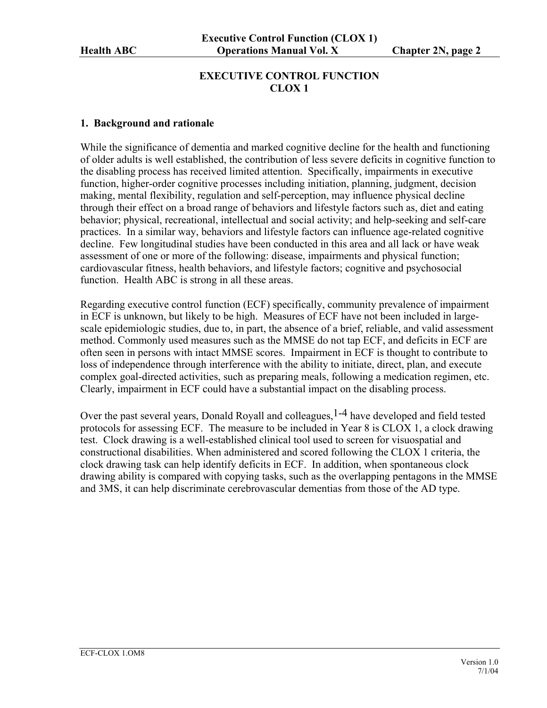## **EXECUTIVE CONTROL FUNCTION CLOX 1**

#### <span id="page-1-0"></span>**1. Background and rationale**

While the significance of dementia and marked cognitive decline for the health and functioning of older adults is well established, the contribution of less severe deficits in cognitive function to the disabling process has received limited attention. Specifically, impairments in executive function, higher-order cognitive processes including initiation, planning, judgment, decision making, mental flexibility, regulation and self-perception, may influence physical decline through their effect on a broad range of behaviors and lifestyle factors such as, diet and eating behavior; physical, recreational, intellectual and social activity; and help-seeking and self-care practices. In a similar way, behaviors and lifestyle factors can influence age-related cognitive decline. Few longitudinal studies have been conducted in this area and all lack or have weak assessment of one or more of the following: disease, impairments and physical function; cardiovascular fitness, health behaviors, and lifestyle factors; cognitive and psychosocial function. Health ABC is strong in all these areas.

Regarding executive control function (ECF) specifically, community prevalence of impairment in ECF is unknown, but likely to be high. Measures of ECF have not been included in largescale epidemiologic studies, due to, in part, the absence of a brief, reliable, and valid assessment method. Commonly used measures such as the MMSE do not tap ECF, and deficits in ECF are often seen in persons with intact MMSE scores. Impairment in ECF is thought to contribute to loss of independence through interference with the ability to initiate, direct, plan, and execute complex goal-directed activities, such as preparing meals, following a medication regimen, etc. Clearly, impairment in ECF could have a substantial impact on the disabling process.

Over the past several years, Donald Royall and colleagues, <sup>1-4</sup> have developed and field tested protocols for assessing ECF. The measure to be included in Year 8 is CLOX 1, a clock drawing test. Clock drawing is a well-established clinical tool used to screen for visuospatial and constructional disabilities. When administered and scored following the CLOX 1 criteria, the clock drawing task can help identify deficits in ECF. In addition, when spontaneous clock drawing ability is compared with copying tasks, such as the overlapping pentagons in the MMSE and 3MS, it can help discriminate cerebrovascular dementias from those of the AD type.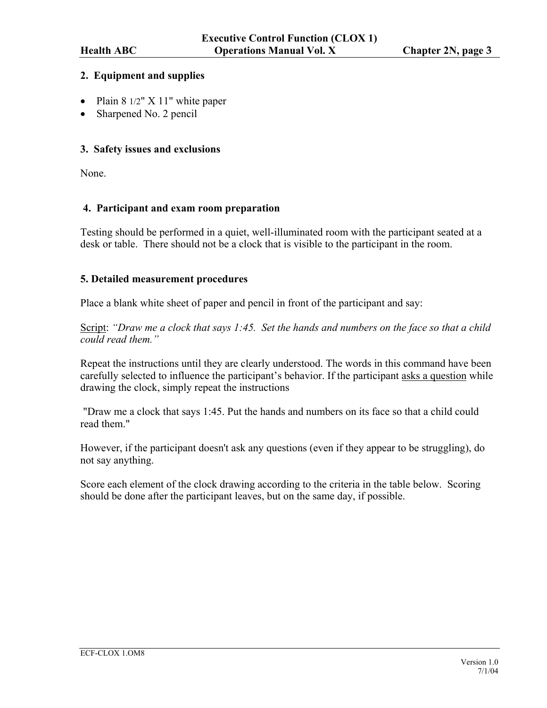### <span id="page-2-0"></span>**2. Equipment and supplies**

- Plain 8 1/2" X 11" white paper
- Sharpened No. 2 pencil

### **3. Safety issues and exclusions**

None.

#### **4. Participant and exam room preparation**

Testing should be performed in a quiet, well-illuminated room with the participant seated at a desk or table. There should not be a clock that is visible to the participant in the room.

#### **5. Detailed measurement procedures**

Place a blank white sheet of paper and pencil in front of the participant and say:

Script: *"Draw me a clock that says 1:45. Set the hands and numbers on the face so that a child could read them."* 

Repeat the instructions until they are clearly understood. The words in this command have been carefully selected to influence the participant's behavior. If the participant asks a question while drawing the clock, simply repeat the instructions

 "Draw me a clock that says 1:45. Put the hands and numbers on its face so that a child could read them."

However, if the participant doesn't ask any questions (even if they appear to be struggling), do not say anything.

Score each element of the clock drawing according to the criteria in the table below. Scoring should be done after the participant leaves, but on the same day, if possible.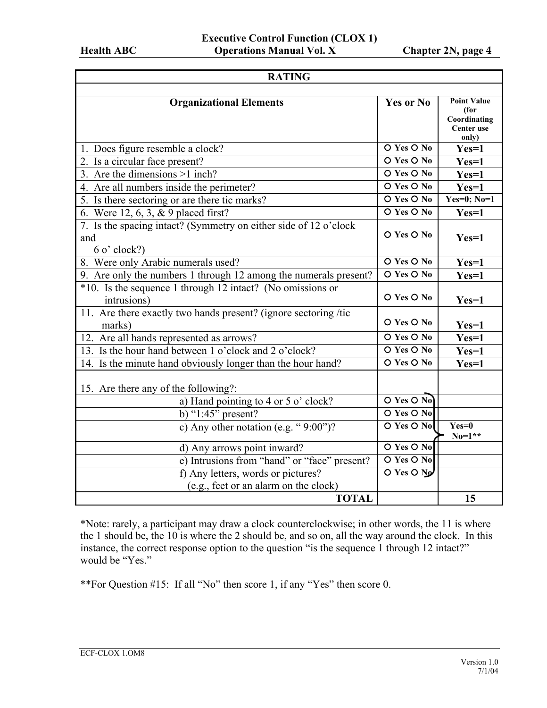| <b>RATING</b>                                                                                                  |                                      |                                                                   |  |  |
|----------------------------------------------------------------------------------------------------------------|--------------------------------------|-------------------------------------------------------------------|--|--|
| <b>Organizational Elements</b>                                                                                 | <b>Yes or No</b>                     | <b>Point Value</b><br>(for<br>Coordinating<br>Center use<br>only) |  |  |
| 1. Does figure resemble a clock?                                                                               | O Yes O No                           | $Yes=1$                                                           |  |  |
| 2. Is a circular face present?                                                                                 | O Yes O No                           | $Yes=1$                                                           |  |  |
| 3. Are the dimensions $>1$ inch?                                                                               | O Yes O No                           | $Yes=1$                                                           |  |  |
| 4. Are all numbers inside the perimeter?                                                                       | O Yes O No                           | $Yes=1$                                                           |  |  |
| 5. Is there sectoring or are there tic marks?                                                                  | O Yes O No                           | Yes=0; No=1                                                       |  |  |
| 6. Were 12, 6, 3, & 9 placed first?                                                                            | O Yes O No                           | $Yes=1$                                                           |  |  |
| 7. Is the spacing intact? (Symmetry on either side of 12 $\overline{o'$ clock<br>and<br>$6 \text{ o'}$ clock?) | O Yes O No                           | $Yes=1$                                                           |  |  |
| 8. Were only Arabic numerals used?                                                                             | O Yes O No                           | $Yes=1$                                                           |  |  |
| 9. Are only the numbers 1 through 12 among the numerals present?                                               | O Yes O No                           | $Yes=1$                                                           |  |  |
| *10. Is the sequence 1 through 12 intact? (No omissions or<br>intrusions)                                      | O Yes O No                           | $Yes=1$                                                           |  |  |
| 11. Are there exactly two hands present? (ignore sectoring /tic<br>marks)                                      | O Yes O No                           | $Yes=1$                                                           |  |  |
| 12. Are all hands represented as arrows?                                                                       | O Yes O No                           | $Yes=1$                                                           |  |  |
| 13. Is the hour hand between 1 o'clock and 2 o'clock?                                                          | O Yes O No                           | $Yes=1$                                                           |  |  |
| 14. Is the minute hand obviously longer than the hour hand?                                                    | O Yes O No                           | $Yes=1$                                                           |  |  |
| 15. Are there any of the following?:                                                                           |                                      |                                                                   |  |  |
| a) Hand pointing to 4 or 5 o' clock?                                                                           | $O$ Yes $O$ No                       |                                                                   |  |  |
| b) " $1:45$ " present?                                                                                         | O Yes O No                           |                                                                   |  |  |
| c) Any other notation (e.g. " $9:00$ ")?                                                                       | O Yes O No                           | $Yes=0$<br>$No=1**$                                               |  |  |
| d) Any arrows point inward?                                                                                    | O Yes O No                           |                                                                   |  |  |
| e) Intrusions from "hand" or "face" present?                                                                   | O Yes O No                           |                                                                   |  |  |
| f) Any letters, words or pictures?                                                                             | $\overline{O}$ Yes $\overline{O}$ No |                                                                   |  |  |
| (e.g., feet or an alarm on the clock)                                                                          |                                      |                                                                   |  |  |
| <b>TOTAL</b>                                                                                                   |                                      | 15                                                                |  |  |

\*Note: rarely, a participant may draw a clock counterclockwise; in other words, the 11 is where the 1 should be, the 10 is where the 2 should be, and so on, all the way around the clock. In this instance, the correct response option to the question "is the sequence 1 through 12 intact?" would be "Yes."

\*\*For Question #15: If all "No" then score 1, if any "Yes" then score 0.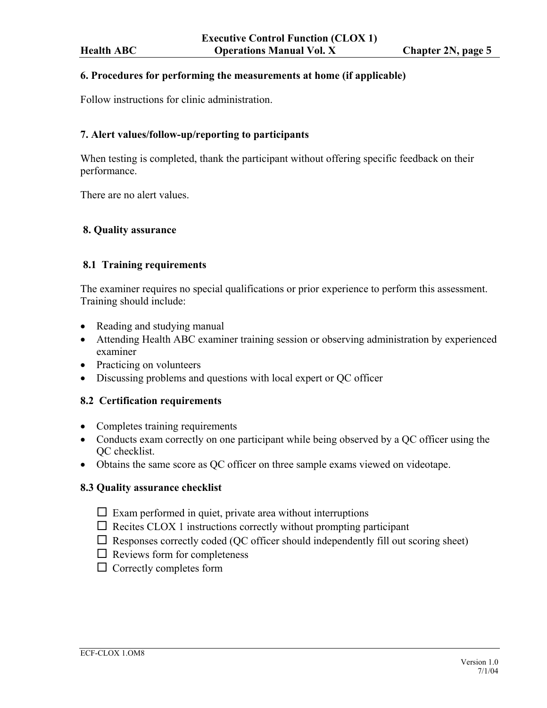#### <span id="page-4-0"></span>**6. Procedures for performing the measurements at home (if applicable)**

Follow instructions for clinic administration.

#### **7. Alert values/follow-up/reporting to participants**

When testing is completed, thank the participant without offering specific feedback on their performance.

There are no alert values.

#### **8. Quality assurance**

#### **8.1 Training requirements**

The examiner requires no special qualifications or prior experience to perform this assessment. Training should include:

- Reading and studying manual
- Attending Health ABC examiner training session or observing administration by experienced examiner
- Practicing on volunteers
- Discussing problems and questions with local expert or QC officer

#### **8.2 Certification requirements**

- Completes training requirements
- Conducts exam correctly on one participant while being observed by a QC officer using the QC checklist.
- Obtains the same score as QC officer on three sample exams viewed on videotape.

#### **8.3 Quality assurance checklist**

- $\Box$  Exam performed in quiet, private area without interruptions
- $\Box$  Recites CLOX 1 instructions correctly without prompting participant
- $\Box$  Responses correctly coded (QC officer should independently fill out scoring sheet)
- $\Box$  Reviews form for completeness
- $\Box$  Correctly completes form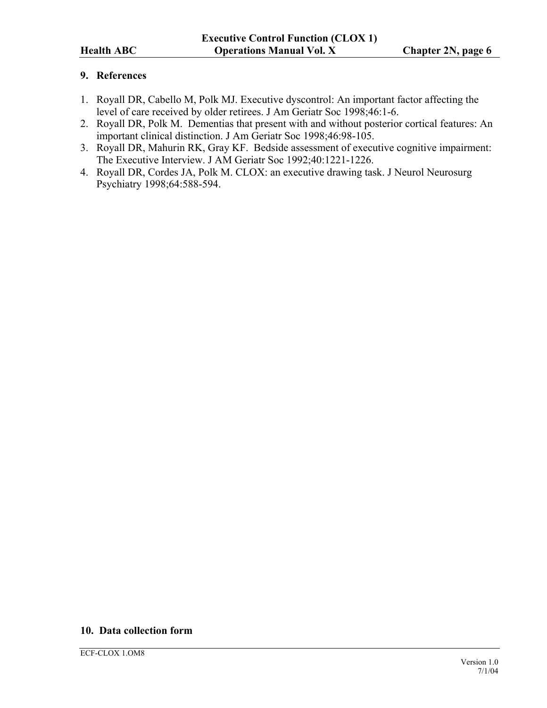### <span id="page-5-0"></span>**9. References**

- 1. Royall DR, Cabello M, Polk MJ. Executive dyscontrol: An important factor affecting the level of care received by older retirees. J Am Geriatr Soc 1998;46:1-6.
- 2. Royall DR, Polk M. Dementias that present with and without posterior cortical features: An important clinical distinction. J Am Geriatr Soc 1998;46:98-105.
- 3. Royall DR, Mahurin RK, Gray KF. Bedside assessment of executive cognitive impairment: The Executive Interview. J AM Geriatr Soc 1992;40:1221-1226.
- 4. Royall DR, Cordes JA, Polk M. CLOX: an executive drawing task. J Neurol Neurosurg Psychiatry 1998;64:588-594.

## **10. Data collection form**